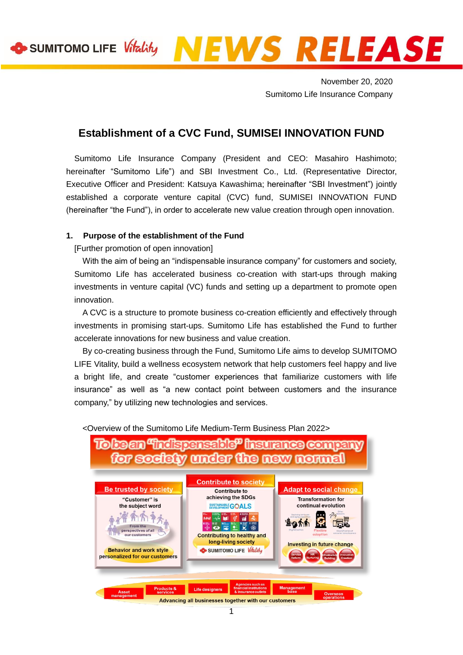# SUMITOMO LIFE *Vitality* NEWS RELEASE

November 20, 2020 Sumitomo Life Insurance Company

# **Establishment of a CVC Fund, SUMISEI INNOVATION FUND**

Sumitomo Life Insurance Company (President and CEO: Masahiro Hashimoto; hereinafter "Sumitomo Life") and SBI Investment Co., Ltd. (Representative Director, Executive Officer and President: Katsuya Kawashima; hereinafter "SBI Investment") jointly established a corporate venture capital (CVC) fund, SUMISEI INNOVATION FUND (hereinafter "the Fund"), in order to accelerate new value creation through open innovation.

## **1. Purpose of the establishment of the Fund**

[Further promotion of open innovation]

With the aim of being an "indispensable insurance company" for customers and society, Sumitomo Life has accelerated business co-creation with start-ups through making investments in venture capital (VC) funds and setting up a department to promote open innovation.

A CVC is a structure to promote business co-creation efficiently and effectively through investments in promising start-ups. Sumitomo Life has established the Fund to further accelerate innovations for new business and value creation.

By co-creating business through the Fund, Sumitomo Life aims to develop SUMITOMO LIFE Vitality, build a wellness ecosystem network that help customers feel happy and live a bright life, and create "customer experiences that familiarize customers with life insurance" as well as "a new contact point between customers and the insurance company," by utilizing new technologies and services.

<Overview of the Sumitomo Life Medium-Term Business Plan 2022>